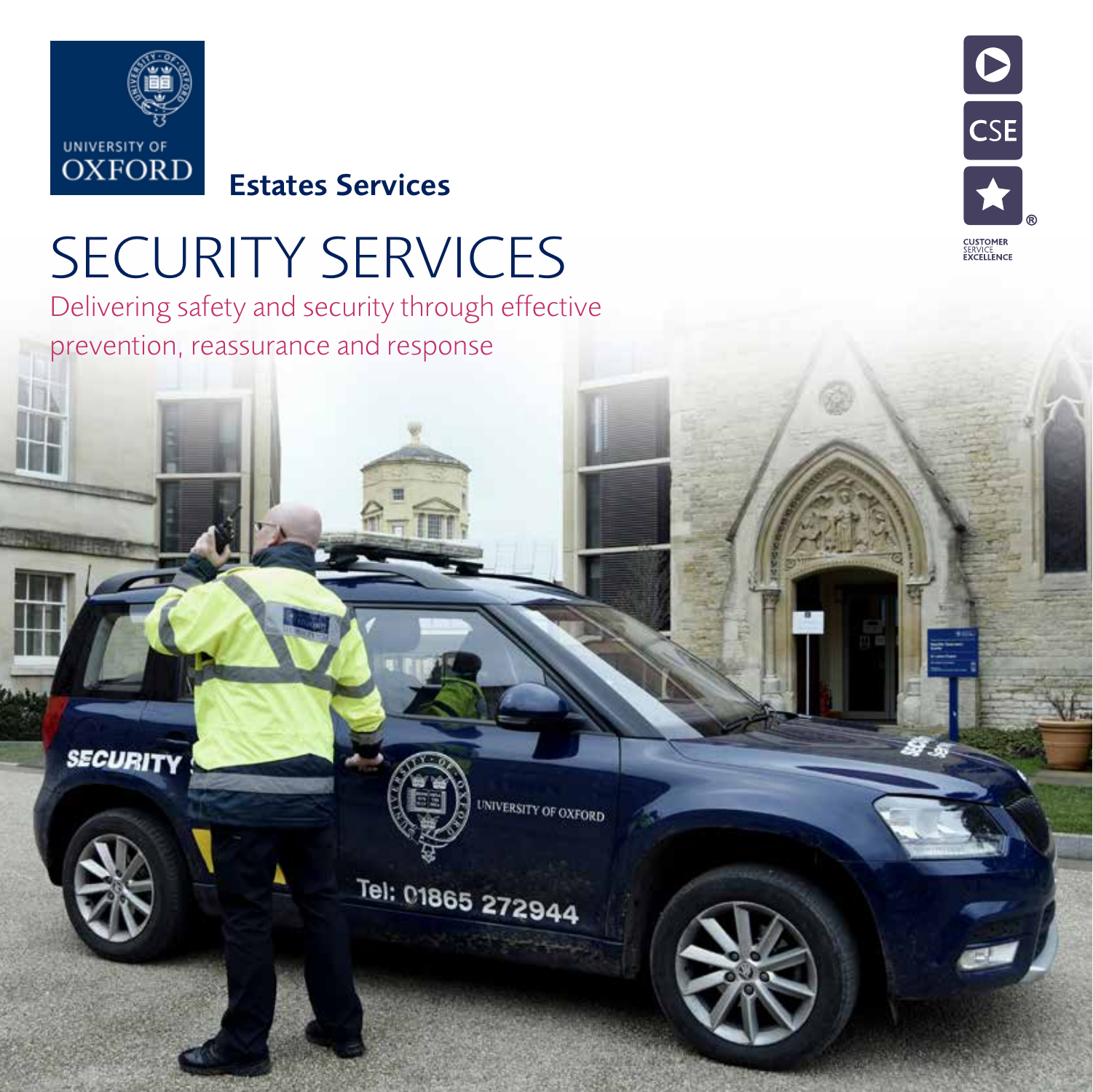

**SECURITY** 

Estates Services

### SECURITY SERVICES

Delivering safety and security through effective prevention, reassurance and response



**UNIVERSITY OF OXFORD** 

### Tel: 01865 272944

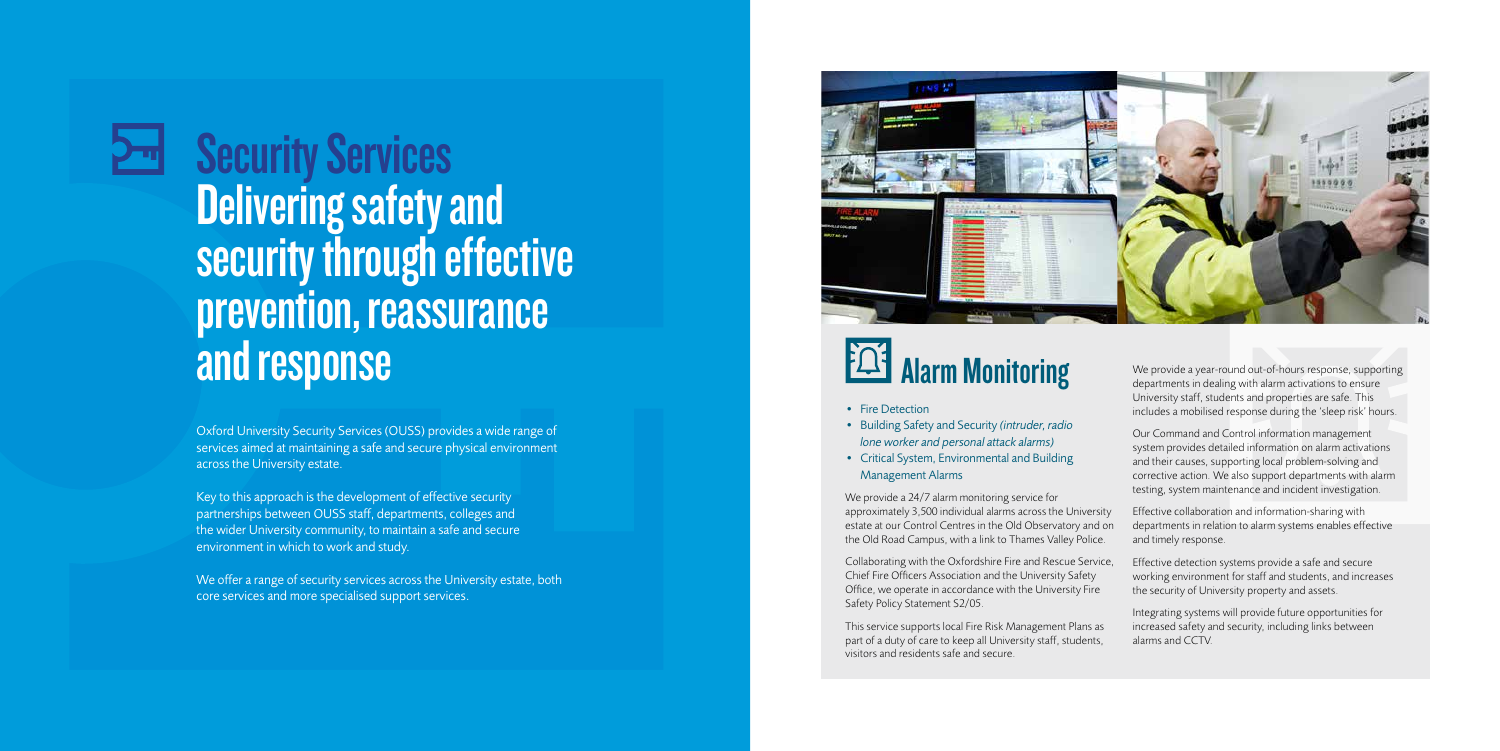Security Services Delivering safety and security through effective prevention, reassurance<br>and response

Oxford University Security Services (OUSS) provides a wide range of services aimed at maintaining a safe and secure physical environment across the University estate.

Key to this approach is the development of effective security partnerships between OUSS staff, departments, colleges and the wider University community, to maintain a safe and secure environment in which to work and study.

- Fire Detection
- Building Safety and Security *(intruder, radio lone worker and personal attack alarms)*
- Critical System, Environmental and Building Management Alarms

We offer a range of security services across the University estate, both core services and more specialised support services.



## **EQ3** Alarm Monitoring

We provide a 24/7 alarm monitoring service for approximately 3,500 individual alarms across the University estate at our Control Centres in the Old Observatory and on the Old Road Campus, with a link to Thames Valley Police.

Collaborating with the Oxfordshire Fire and Rescue Service, Chief Fire Officers Association and the University Safety Office, we operate in accordance with the University Fire Safety Policy Statement S2/05.

This service supports local Fire Risk Management Plans as part of a duty of care to keep all University staff, students, visitors and residents safe and secure.

We provide a year-round out-of-hours response, supporting departments in dealing with alarm activations to ensure University staff, students and properties are safe. This includes a mobilised response during the 'sleep risk' hours.

Our Command and Control information management system provides detailed information on alarm activations and their causes, supporting local problem-solving and corrective action. We also support departments with alarm testing, system maintenance and incident investigation.

Effective collaboration and information-sharing with departments in relation to alarm systems enables effective and timely response.

Effective detection systems provide a safe and secure working environment for staff and students, and increases the security of University property and assets.

Integrating systems will provide future opportunities for increased safety and security, including links between alarms and CCTV.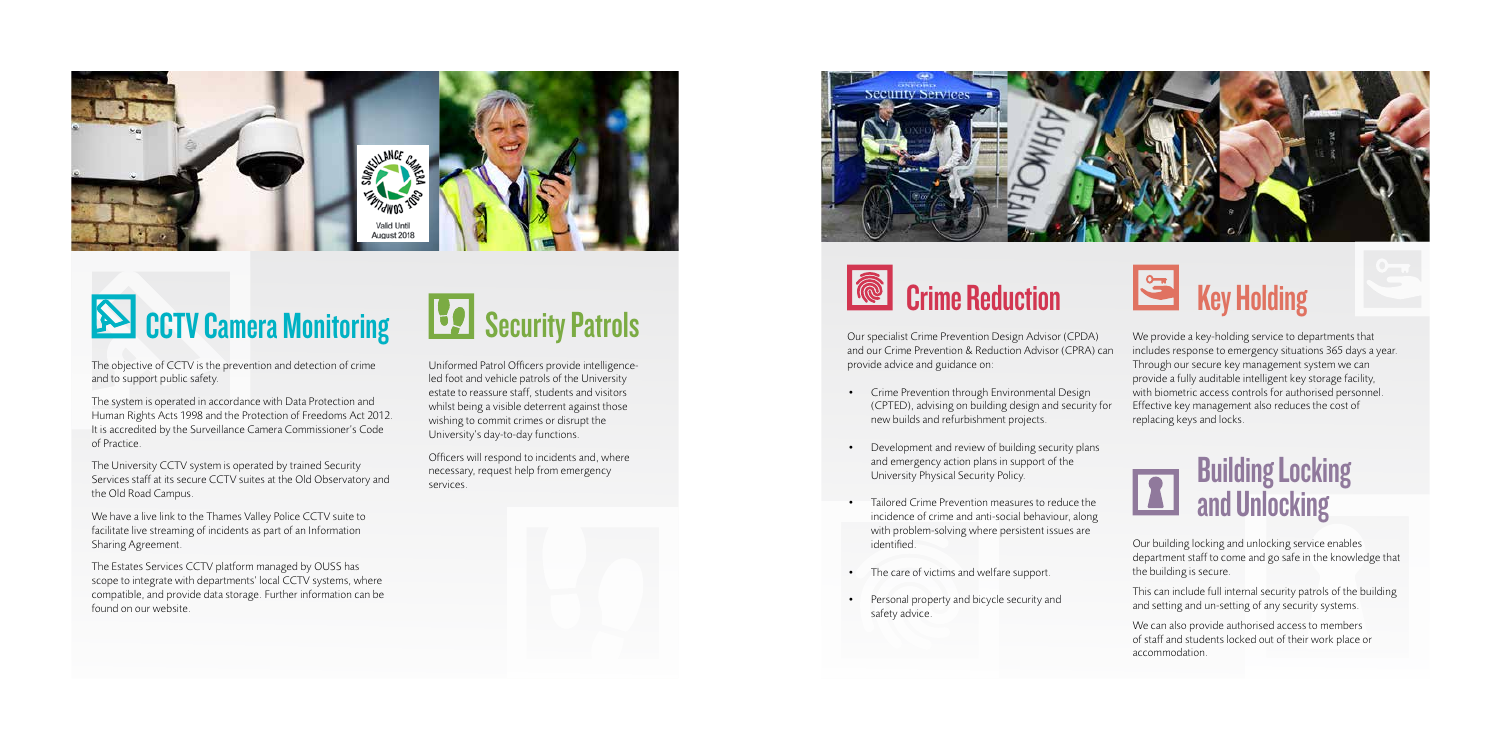

## **SOMICOTY Camera Monitoring**

The objective of CCTV is the prevention and detection of crime and to support public safety.

The system is operated in accordance with Data Protection and Human Rights Acts 1998 and the Protection of Freedoms Act 2012. It is accredited by the Surveillance Camera Commissioner's Code of Practice.

The University CCTV system is operated by trained Security Services staff at its secure CCTV suites at the Old Observatory and the Old Road Campus.

We have a live link to the Thames Valley Police CCTV suite to facilitate live streaming of incidents as part of an Information Sharing Agreement.

The Estates Services CCTV platform managed by OUSS has scope to integrate with departments' local CCTV systems, where compatible, and provide data storage. Further information can be found on our website.

## **Security Patrols**

Uniformed Patrol Officers provide intelligenceled foot and vehicle patrols of the University estate to reassure staff, students and visitors whilst being a visible deterrent against those wishing to commit crimes or disrupt the University's day-to-day functions.

Officers will respond to incidents and, where necessary, request help from emergency services.



## Crime Reduction

Our specialist Crime Prevention Design Advisor (CPDA) and our Crime Prevention & Reduction Advisor (CPRA) can provide advice and guidance on:

- Crime Prevention through Environmental Design (CPTED), advising on building design and security for new builds and refurbishment projects.
- Development and review of building security plans and emergency action plans in support of the University Physical Security Policy.
- Tailored Crime Prevention measures to reduce the incidence of crime and anti-social behaviour, along with problem-solving where persistent issues are identified.
- The care of victims and welfare support.
- Personal property and bicycle security and safety advice.



We provide a key-holding service to departments that includes response to emergency situations 365 days a year. Through our secure key management system we can provide a fully auditable intelligent key storage facility, with biometric access controls for authorised personnel. Effective key management also reduces the cost of replacing keys and locks.

#### **Building Locking LAS** and Unlocking

Our building locking and unlocking service enables department staff to come and go safe in the knowledge that the building is secure.

This can include full internal security patrols of the building and setting and un-setting of any security systems.

We can also provide authorised access to members of staff and students locked out of their work place or accommodation.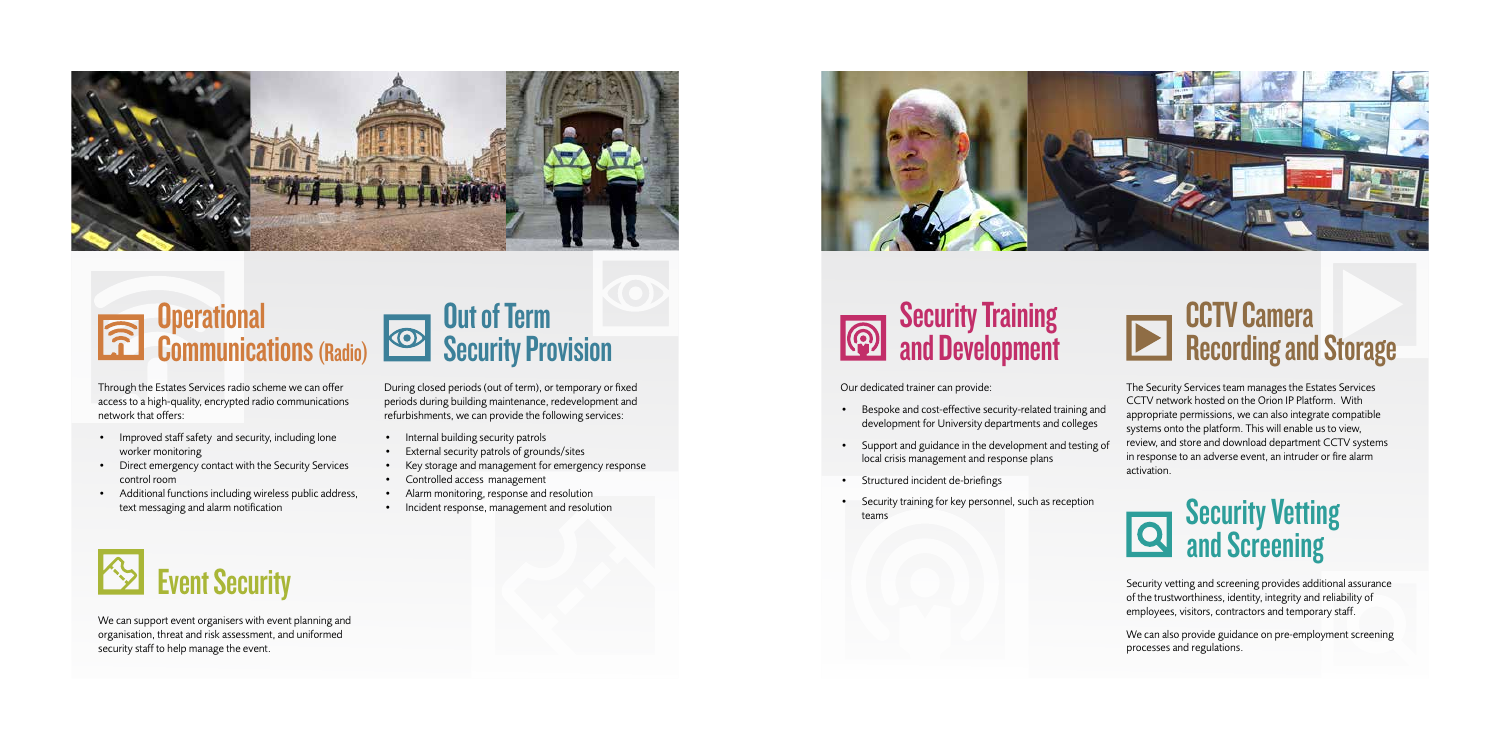# **Operational**

#### **Security Training** and Development

Our dedicated trainer can provide:

- Bespoke and cost-effective security-related training and development for University departments and colleges
- Support and guidance in the development and testing of local crisis management and response plans
- Structured incident de-briefings
- Security training for key personnel, such as reception teams

The Security Services team manages the Estates Services CCTV network hosted on the Orion IP Platform. With appropriate permissions, we can also integrate compatible systems onto the platform. This will enable us to view, review, and store and download department CCTV systems in response to an adverse event, an intruder or fire alarm activation.

#### **Security Vetting and Screening**

Security vetting and screening provides additional assurance of the trustworthiness, identity, integrity and reliability of employees, visitors, contractors and temporary staff.

We can also provide guidance on pre-employment screening processes and regulations.

- Internal building security patrols
- External security patrols of grounds/sites
- Key storage and management for emergency response
- Controlled access management
- Alarm monitoring, response and resolution
- Incident response, management and resolution



Through the Estates Services radio scheme we can offer access to a high-quality, encrypted radio communications network that offers:

- Improved staff safety and security, including lone worker monitoring
- Direct emergency contact with the Security Services control room
- Additional functions including wireless public address, text messaging and alarm notification





We can support event organisers with event planning and organisation, threat and risk assessment, and uniformed security staff to help manage the event.



# **EXTV Camera**<br>Recording and Storage

During closed periods (out of term), or temporary or fixed periods during building maintenance, redevelopment and refurbishments, we can provide the following services: